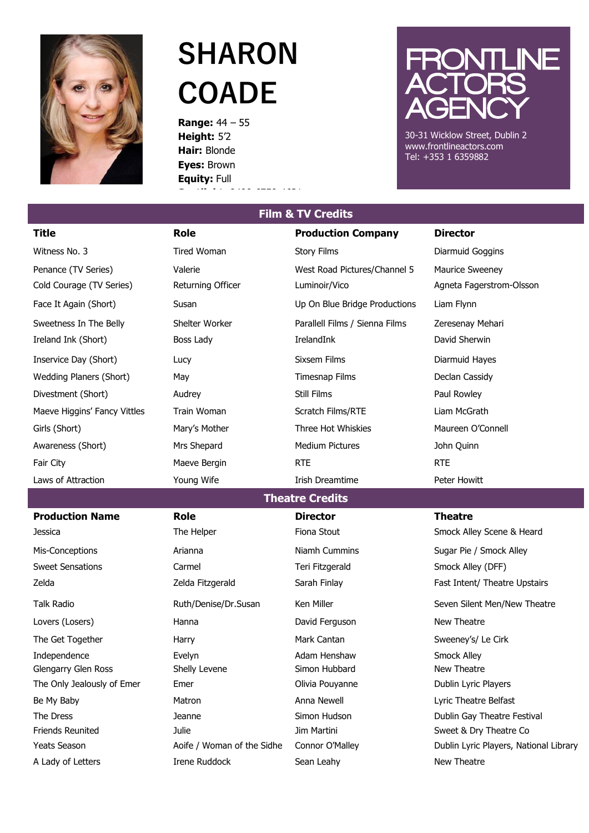

## **SHARON COADE**

**Range:** 44 – 55 **Height:** 5'2 **Hair:** Blonde **Eyes:** Brown **Equity:** Full



30-31 Wicklow Street, Dublin 2 www.frontlineactors.com Tel: +353 1 6359882

| <b>Film &amp; TV Credits</b> |                            |                                |                                        |  |  |
|------------------------------|----------------------------|--------------------------------|----------------------------------------|--|--|
| <b>Title</b>                 | <b>Role</b>                | <b>Production Company</b>      | <b>Director</b>                        |  |  |
| Witness No. 3                | <b>Tired Woman</b>         | <b>Story Films</b>             | Diarmuid Goggins                       |  |  |
| Penance (TV Series)          | Valerie                    | West Road Pictures/Channel 5   | <b>Maurice Sweeney</b>                 |  |  |
| Cold Courage (TV Series)     | Returning Officer          | Luminoir/Vico                  | Agneta Fagerstrom-Olsson               |  |  |
| Face It Again (Short)        | Susan                      | Up On Blue Bridge Productions  | Liam Flynn                             |  |  |
| Sweetness In The Belly       | Shelter Worker             | Parallell Films / Sienna Films | Zeresenay Mehari                       |  |  |
| Ireland Ink (Short)          | Boss Lady                  | IrelandInk                     | David Sherwin                          |  |  |
| Inservice Day (Short)        | Lucy                       | <b>Sixsem Films</b>            | Diarmuid Hayes                         |  |  |
| Wedding Planers (Short)      | May                        | Timesnap Films                 | Declan Cassidy                         |  |  |
| Divestment (Short)           | Audrey                     | <b>Still Films</b>             | Paul Rowley                            |  |  |
| Maeve Higgins' Fancy Vittles | <b>Train Woman</b>         | Scratch Films/RTE              | Liam McGrath                           |  |  |
| Girls (Short)                | Mary's Mother              | Three Hot Whiskies             | Maureen O'Connell                      |  |  |
| Awareness (Short)            | Mrs Shepard                | <b>Medium Pictures</b>         | John Quinn                             |  |  |
| Fair City                    | Maeve Bergin               | <b>RTE</b>                     | <b>RTE</b>                             |  |  |
| Laws of Attraction           | Young Wife                 | Irish Dreamtime                | Peter Howitt                           |  |  |
|                              | <b>Theatre Credits</b>     |                                |                                        |  |  |
| <b>Production Name</b>       | <b>Role</b>                | <b>Director</b>                | <b>Theatre</b>                         |  |  |
| Jessica                      | The Helper                 | Fiona Stout                    | Smock Alley Scene & Heard              |  |  |
| Mis-Conceptions              | Arianna                    | <b>Niamh Cummins</b>           | Sugar Pie / Smock Alley                |  |  |
| <b>Sweet Sensations</b>      | Carmel                     | Teri Fitzgerald                | Smock Alley (DFF)                      |  |  |
| Zelda                        | Zelda Fitzgerald           | Sarah Finlay                   | Fast Intent/ Theatre Upstairs          |  |  |
| <b>Talk Radio</b>            | Ruth/Denise/Dr.Susan       | Ken Miller                     | Seven Silent Men/New Theatre           |  |  |
| Lovers (Losers)              | Hanna                      | David Ferguson                 | New Theatre                            |  |  |
| The Get Together             | Harry                      | Mark Cantan                    | Sweeney's/ Le Cirk                     |  |  |
| Independence                 | Evelyn                     | Adam Henshaw                   | Smock Alley                            |  |  |
| Glengarry Glen Ross          | Shelly Levene              | Simon Hubbard                  | New Theatre                            |  |  |
| The Only Jealously of Emer   | Emer                       | Olivia Pouyanne                | Dublin Lyric Players                   |  |  |
| Be My Baby                   | Matron                     | Anna Newell                    | Lyric Theatre Belfast                  |  |  |
| The Dress                    | Jeanne                     | Simon Hudson                   | Dublin Gay Theatre Festival            |  |  |
| <b>Friends Reunited</b>      | Julie                      | Jim Martini                    | Sweet & Dry Theatre Co                 |  |  |
| Yeats Season                 | Aoife / Woman of the Sidhe | Connor O'Malley                | Dublin Lyric Players, National Library |  |  |
| A Lady of Letters            | Irene Ruddock              | Sean Leahy                     | New Theatre                            |  |  |